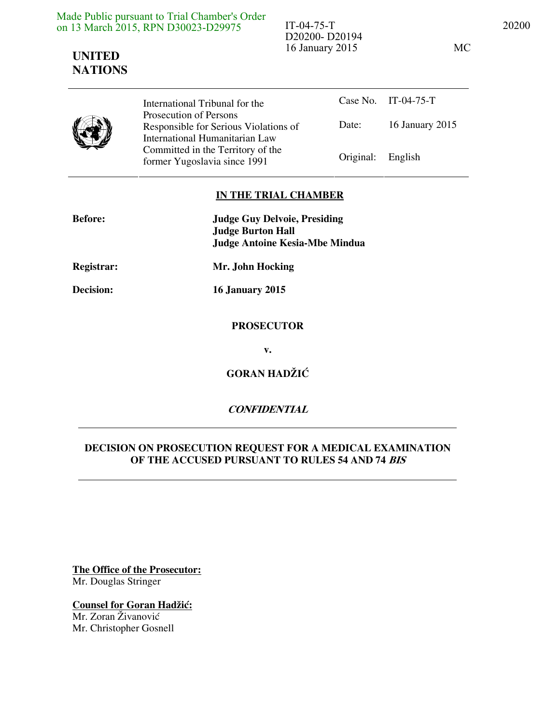| Made Public pursuant to Trial Chamber's Order |
|-----------------------------------------------|
| on 13 March 2015, RPN D30023-D29975           |

## IT-04-75-T 20200 D20200- D20194 16 January 2015 MC

**UNITED NATIONS**

Case No. IT-04-75-T Date: 16 January 2015 International Tribunal for the Prosecution of Persons Responsible for Serious Violations of International Humanitarian Law Committed in the Territory of the Former Yugoslavia since 1991 Original: English

## **IN THE TRIAL CHAMBER**

| <b>Before:</b>    | <b>Judge Guy Delvoie, Presiding</b><br><b>Judge Burton Hall</b><br><b>Judge Antoine Kesia-Mbe Mindua</b> |
|-------------------|----------------------------------------------------------------------------------------------------------|
| <b>Registrar:</b> | Mr. John Hocking                                                                                         |
| <b>Decision:</b>  | <b>16 January 2015</b>                                                                                   |
|                   | <b>PROSECUTOR</b>                                                                                        |
|                   | $V_{\bullet}$                                                                                            |
|                   | <b>GORAN HADŽIĆ</b>                                                                                      |
|                   | <b>CONFIDENTIAL</b>                                                                                      |

## **DECISION ON PROSECUTION REQUEST FOR A MEDICAL EXAMINATION OF THE ACCUSED PURSUANT TO RULES 54 AND 74 BIS**

**The Office of the Prosecutor:** Mr. Douglas Stringer

**Counsel for Goran Hadžić:** Mr. Zoran Živanović Mr. Christopher Gosnell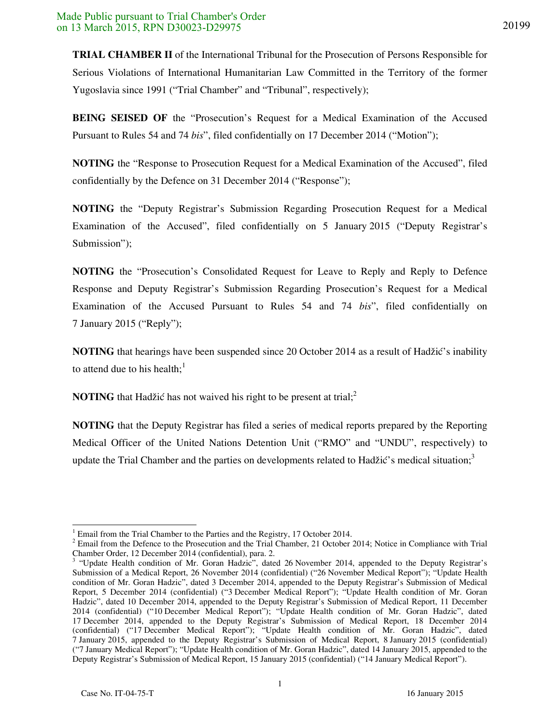**TRIAL CHAMBER II** of the International Tribunal for the Prosecution of Persons Responsible for Serious Violations of International Humanitarian Law Committed in the Territory of the former Yugoslavia since 1991 ("Trial Chamber" and "Tribunal", respectively);

**BEING SEISED OF** the "Prosecution's Request for a Medical Examination of the Accused Pursuant to Rules 54 and 74 *bis*", filed confidentially on 17 December 2014 ("Motion");

**NOTING** the "Response to Prosecution Request for a Medical Examination of the Accused", filed confidentially by the Defence on 31 December 2014 ("Response");

**NOTING** the "Deputy Registrar's Submission Regarding Prosecution Request for a Medical Examination of the Accused", filed confidentially on 5 January 2015 ("Deputy Registrar's Submission");

**NOTING** the "Prosecution's Consolidated Request for Leave to Reply and Reply to Defence Response and Deputy Registrar's Submission Regarding Prosecution's Request for a Medical Examination of the Accused Pursuant to Rules 54 and 74 *bis*", filed confidentially on 7 January 2015 ("Reply");

**NOTING** that hearings have been suspended since 20 October 2014 as a result of Hadžić's inability to attend due to his health; $<sup>1</sup>$ </sup>

**NOTING** that Hadžić has not waived his right to be present at trial;<sup>2</sup>

**NOTING** that the Deputy Registrar has filed a series of medical reports prepared by the Reporting Medical Officer of the United Nations Detention Unit ("RMO" and "UNDU", respectively) to update the Trial Chamber and the parties on developments related to Hadžić's medical situation;<sup>3</sup>

 $\overline{a}$ 

<sup>1</sup> Email from the Trial Chamber to the Parties and the Registry, 17 October 2014.

 $2^2$  Email from the Defence to the Prosecution and the Trial Chamber, 21 October 2014; Notice in Compliance with Trial

Chamber Order, 12 December 2014 (confidential), para. 2. 3 "Update Health condition of Mr. Goran Hadzic", dated 26 November 2014, appended to the Deputy Registrar's Submission of a Medical Report, 26 November 2014 (confidential) ("26 November Medical Report"); "Update Health condition of Mr. Goran Hadzic", dated 3 December 2014, appended to the Deputy Registrar's Submission of Medical Report, 5 December 2014 (confidential) ("3 December Medical Report"); "Update Health condition of Mr. Goran Hadzic", dated 10 December 2014, appended to the Deputy Registrar's Submission of Medical Report, 11 December 2014 (confidential) ("10 December Medical Report"); "Update Health condition of Mr. Goran Hadzic", dated 17 December 2014, appended to the Deputy Registrar's Submission of Medical Report, 18 December 2014 (confidential) ("17 December Medical Report"); "Update Health condition of Mr. Goran Hadzic", dated 7 January 2015, appended to the Deputy Registrar's Submission of Medical Report, 8 January 2015 (confidential) ("7 January Medical Report"); "Update Health condition of Mr. Goran Hadzic", dated 14 January 2015, appended to the Deputy Registrar's Submission of Medical Report, 15 January 2015 (confidential) ("14 January Medical Report").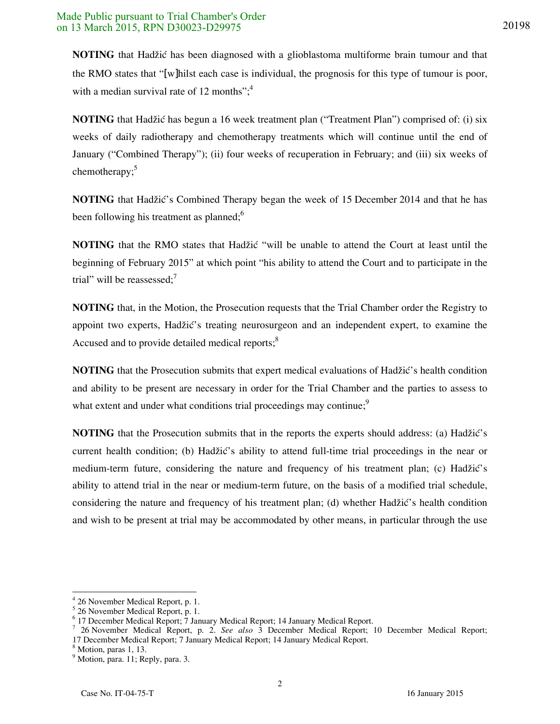**NOTING** that Hadžić has been diagnosed with a glioblastoma multiforme brain tumour and that the RMO states that "[w]hilst each case is individual, the prognosis for this type of tumour is poor, with a median survival rate of 12 months"; $4$ 

**NOTING** that Hadžić has begun a 16 week treatment plan ("Treatment Plan") comprised of: (i) six weeks of daily radiotherapy and chemotherapy treatments which will continue until the end of January ("Combined Therapy"); (ii) four weeks of recuperation in February; and (iii) six weeks of chemotherapy; $5$ 

**NOTING** that Hadžić's Combined Therapy began the week of 15 December 2014 and that he has been following his treatment as planned;<sup>6</sup>

**NOTING** that the RMO states that Hadžić "will be unable to attend the Court at least until the beginning of February 2015" at which point "his ability to attend the Court and to participate in the trial" will be reassessed: $<sup>7</sup>$ </sup>

**NOTING** that, in the Motion, the Prosecution requests that the Trial Chamber order the Registry to appoint two experts, Hadžić's treating neurosurgeon and an independent expert, to examine the Accused and to provide detailed medical reports;<sup>8</sup>

**NOTING** that the Prosecution submits that expert medical evaluations of Hadžić's health condition and ability to be present are necessary in order for the Trial Chamber and the parties to assess to what extent and under what conditions trial proceedings may continue;<sup>9</sup>

**NOTING** that the Prosecution submits that in the reports the experts should address: (a) Hadžić's current health condition; (b) Hadžić's ability to attend full-time trial proceedings in the near or medium-term future, considering the nature and frequency of his treatment plan; (c) Hadžić's ability to attend trial in the near or medium-term future, on the basis of a modified trial schedule, considering the nature and frequency of his treatment plan; (d) whether Hadžić's health condition and wish to be present at trial may be accommodated by other means, in particular through the use

 $\overline{a}$ 

<sup>4</sup> 26 November Medical Report, p. 1.

<sup>5</sup> 26 November Medical Report, p. 1.

<sup>&</sup>lt;sup>6</sup> 17 December Medical Report; 7 January Medical Report; 14 January Medical Report.

<sup>7</sup> 26 November Medical Report, p. 2. *See also* 3 December Medical Report; 10 December Medical Report; 17 December Medical Report; 7 January Medical Report; 14 January Medical Report.

<sup>8</sup> Motion, paras 1, 13.

<sup>&</sup>lt;sup>9</sup> Motion, para. 11; Reply, para. 3.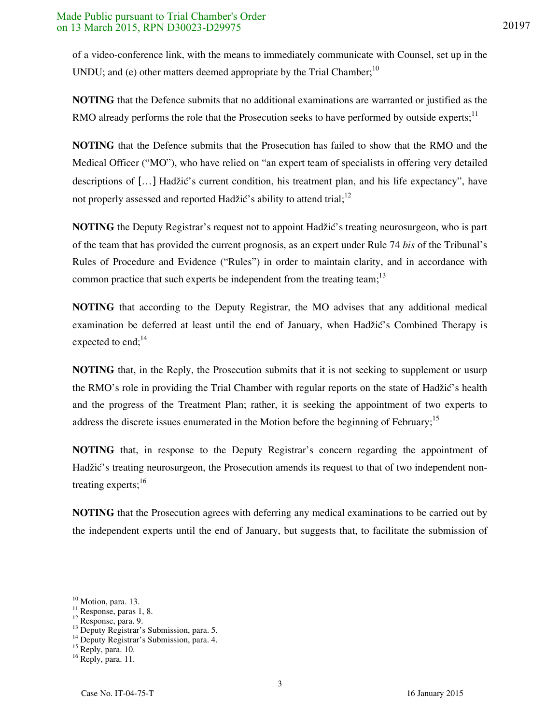**NOTING** that the Defence submits that no additional examinations are warranted or justified as the RMO already performs the role that the Prosecution seeks to have performed by outside experts;<sup>11</sup>

**NOTING** that the Defence submits that the Prosecution has failed to show that the RMO and the Medical Officer ("MO"), who have relied on "an expert team of specialists in offering very detailed descriptions of  $[\ldots]$  Hadžić's current condition, his treatment plan, and his life expectancy", have not properly assessed and reported Hadžić's ability to attend trial;<sup>12</sup>

**NOTING** the Deputy Registrar's request not to appoint Hadžić's treating neurosurgeon, who is part of the team that has provided the current prognosis, as an expert under Rule 74 *bis* of the Tribunal's Rules of Procedure and Evidence ("Rules") in order to maintain clarity, and in accordance with common practice that such experts be independent from the treating team;  $13$ 

**NOTING** that according to the Deputy Registrar, the MO advises that any additional medical examination be deferred at least until the end of January, when Hadžić's Combined Therapy is expected to end; $^{14}$ 

**NOTING** that, in the Reply, the Prosecution submits that it is not seeking to supplement or usurp the RMO's role in providing the Trial Chamber with regular reports on the state of Hadžić's health and the progress of the Treatment Plan; rather, it is seeking the appointment of two experts to address the discrete issues enumerated in the Motion before the beginning of February;<sup>15</sup>

**NOTING** that, in response to the Deputy Registrar's concern regarding the appointment of Hadžić's treating neurosurgeon, the Prosecution amends its request to that of two independent nontreating experts;<sup>16</sup>

**NOTING** that the Prosecution agrees with deferring any medical examinations to be carried out by the independent experts until the end of January, but suggests that, to facilitate the submission of

3

 $\overline{a}$ 

<sup>&</sup>lt;sup>10</sup> Motion, para. 13.

 $\frac{11}{11}$  Response, paras 1, 8.

<sup>12</sup> Response, para. 9.

 $^{13}$  Deputy Registrar's Submission, para. 5.

<sup>&</sup>lt;sup>14</sup> Deputy Registrar's Submission, para. 4.

<sup>&</sup>lt;sup>15</sup> Reply, para. 10.

<sup>16</sup> Reply, para. 11.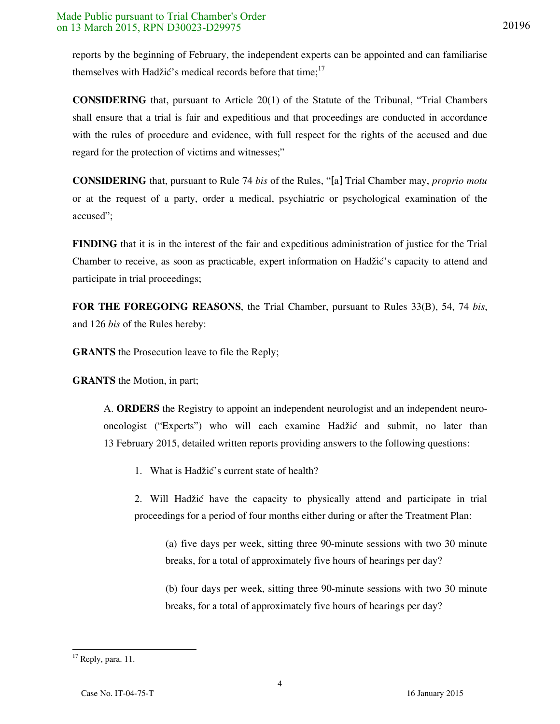reports by the beginning of February, the independent experts can be appointed and can familiarise themselves with Hadžić's medical records before that time;<sup>17</sup>

**CONSIDERING** that, pursuant to Article 20(1) of the Statute of the Tribunal, "Trial Chambers shall ensure that a trial is fair and expeditious and that proceedings are conducted in accordance with the rules of procedure and evidence, with full respect for the rights of the accused and due regard for the protection of victims and witnesses;"

**CONSIDERING** that, pursuant to Rule 74 *bis* of the Rules, "[a] Trial Chamber may, *proprio motu* or at the request of a party, order a medical, psychiatric or psychological examination of the accused";

**FINDING** that it is in the interest of the fair and expeditious administration of justice for the Trial Chamber to receive, as soon as practicable, expert information on Hadžić's capacity to attend and participate in trial proceedings;

**FOR THE FOREGOING REASONS**, the Trial Chamber, pursuant to Rules 33(B), 54, 74 *bis*, and 126 *bis* of the Rules hereby:

**GRANTS** the Prosecution leave to file the Reply;

**GRANTS** the Motion, in part;

A. **ORDERS** the Registry to appoint an independent neurologist and an independent neurooncologist ("Experts") who will each examine Hadžić and submit, no later than 13 February 2015, detailed written reports providing answers to the following questions:

1. What is Hadžić's current state of health?

2. Will Hadžić have the capacity to physically attend and participate in trial proceedings for a period of four months either during or after the Treatment Plan:

(a) five days per week, sitting three 90-minute sessions with two 30 minute breaks, for a total of approximately five hours of hearings per day?

(b) four days per week, sitting three 90-minute sessions with two 30 minute breaks, for a total of approximately five hours of hearings per day?

  $17$  Reply, para. 11.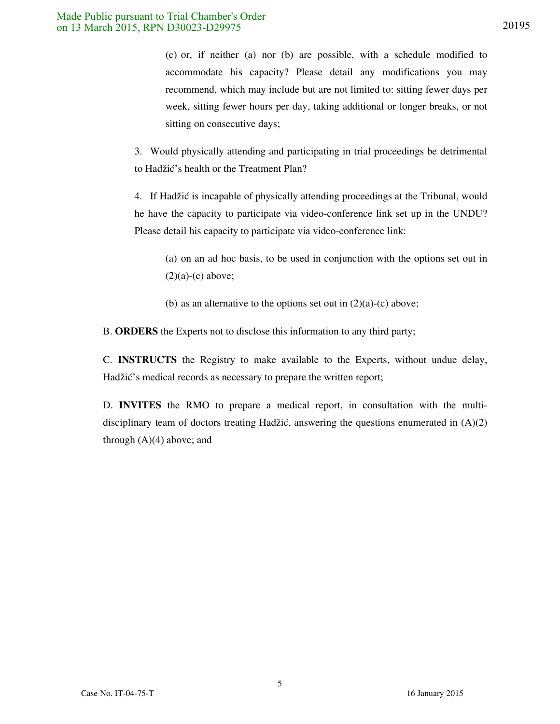(c) or, if neither (a) nor (b) are possible, with a schedule modified to accommodate his capacity? Please detail any modifications you may recommend, which may include but are not limited to: sitting fewer days per week, sitting fewer hours per day, taking additional or longer breaks, or not sitting on consecutive days;

3. Would physically attending and participating in trial proceedings be detrimental to Hadžić's health or the Treatment Plan?

4. If Hadžić is incapable of physically attending proceedings at the Tribunal, would he have the capacity to participate via video-conference link set up in the UNDU? Please detail his capacity to participate via video-conference link:

(a) on an ad hoc basis, to be used in conjunction with the options set out in  $(2)(a)-(c)$  above;

(b) as an alternative to the options set out in  $(2)(a)-(c)$  above;

B. **ORDERS** the Experts not to disclose this information to any third party;

C. **INSTRUCTS** the Registry to make available to the Experts, without undue delay, Hadžić's medical records as necessary to prepare the written report;

D. **INVITES** the RMO to prepare a medical report, in consultation with the multidisciplinary team of doctors treating Hadžić, answering the questions enumerated in  $(A)(2)$ through  $(A)(4)$  above; and